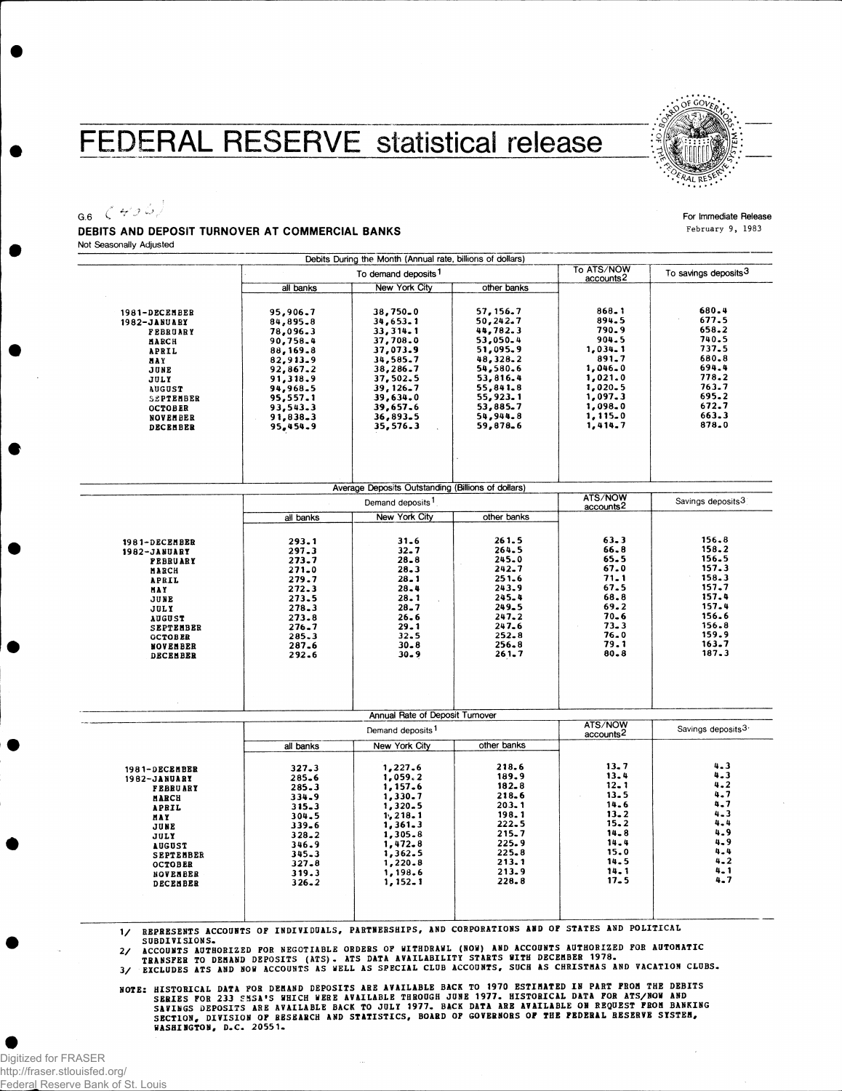## FEDERAL RESERVE statistical release



## G.6  $\left( +56\right)$ DEBITS AND DEPOSIT TURNOVER AT COMMERCIAL BANKS

For Immediate Release **February 9, 1983**

Not Seasonally Adjusted

 $\overline{a}$ 

|                                                                                                                                                                                               |                                                                                                                                                          | Debits During the Month (Annual rate, billions of dollars)                                                                                                         |                                                                                                                                                            |                                                                                                                                       |                                                                                                                                 |
|-----------------------------------------------------------------------------------------------------------------------------------------------------------------------------------------------|----------------------------------------------------------------------------------------------------------------------------------------------------------|--------------------------------------------------------------------------------------------------------------------------------------------------------------------|------------------------------------------------------------------------------------------------------------------------------------------------------------|---------------------------------------------------------------------------------------------------------------------------------------|---------------------------------------------------------------------------------------------------------------------------------|
|                                                                                                                                                                                               |                                                                                                                                                          | To demand deposits <sup>1</sup>                                                                                                                                    |                                                                                                                                                            | To ATS/NOW<br>accounts2                                                                                                               | To savings deposits <sup>3</sup>                                                                                                |
|                                                                                                                                                                                               | all banks                                                                                                                                                | <b>New York City</b>                                                                                                                                               | other banks                                                                                                                                                |                                                                                                                                       |                                                                                                                                 |
| 1981-DECEMBER<br>1982-JANUARY<br><b>FEBRUARY</b><br>MARCH<br>APRIL<br><b>NAY</b><br>JUNE<br>JULY<br><b>AUGUST</b><br>SEPTEMBER<br><b>OCTOBER</b><br><b>NOVEMBER</b><br>DECEMBER               | 95,906.7<br>84,895.8<br>78,096.3<br>90,758.4<br>88,169.8<br>82,913.9<br>92,867.2<br>91,318.9<br>94,968.5<br>95,557.1<br>93,543.3<br>91,838.3<br>95,454.9 | 38,750.0<br>34,653.1<br>33, 314.1<br>37,708.0<br>37,073.9<br>34,585.7<br>38,286.7<br>37,502.5<br>39, 126.7<br>39,634.0<br>39,657.6<br>36,893.5<br>35,576.3         | 57, 156.7<br>50, 242.7<br>44,782.3<br>53,050.4<br>51,095.9<br>48,328.2<br>54,580.6<br>53,816.4<br>55,841.8<br>55,923.1<br>53,885.7<br>54,944.8<br>59,878.6 | $868 - 1$<br>894.5<br>790.9<br>904.5<br>1,034.1<br>891.7<br>1,046.0<br>1,021.0<br>1,020.5<br>1,097.3<br>1,098.0<br>1,115.0<br>1,414.7 | 680.4<br>677.5<br>658.2<br>740.5<br>737.5<br>680.8<br>694.4<br>778.2<br>763.7<br>695.2<br>672.7<br>663.3<br>878.0               |
|                                                                                                                                                                                               |                                                                                                                                                          | Average Deposits Outstanding (Billions of dollars)                                                                                                                 |                                                                                                                                                            |                                                                                                                                       |                                                                                                                                 |
|                                                                                                                                                                                               |                                                                                                                                                          | Demand deposits <sup>1</sup>                                                                                                                                       |                                                                                                                                                            | <b>ATS/NOW</b><br>accounts <sup>2</sup>                                                                                               | Savings deposits3                                                                                                               |
|                                                                                                                                                                                               | all banks                                                                                                                                                | <b>New York City</b>                                                                                                                                               | other banks                                                                                                                                                |                                                                                                                                       |                                                                                                                                 |
| 1981-DECEMBER<br>1982-JANUARY<br><b>FEBRUARY</b><br><b>HARCH</b><br><b>APRIL</b><br><b>HAY</b><br>JUNE<br>JULY<br><b>AUGUST</b><br><b>SEPTEMBER</b><br><b>OCTOBER</b><br>NOVENBER<br>DECEMBER | 293.1<br>297.3<br>273.7<br>$271 - 0$<br>279.7<br>272.3<br>273.5<br>278.3<br>273.8<br>$276 - 7$<br>285.3<br>287.6<br>292.6                                | $31 - 6$<br>$32 - 7$<br>$28 - 8$<br>$28 - 3$<br>$28 - 1$<br>$28 - 4$<br>28.1<br>$28 - 7$<br>$26 - 6$<br>$29 - 1$<br>$32 - 5$<br>$30 - 8$<br>30.9                   | 261.5<br>264.5<br>245.0<br>242.7<br>$251 - 6$<br>243.9<br>245.4<br>$249 - 5$<br>$247 - 2$<br>$247 - 6$<br>$252 - 8$<br>256.8<br>$261 - 7$                  | $63 - 3$<br>66.8<br>$65 - 5$<br>67.0<br>71.1<br>67.5<br>68.8<br>69.2<br>$70 - 6$<br>$73 - 3$<br>76.0<br>79.1<br>$80 - 8$              | 156.8<br>158.2<br>156.5<br>157.3<br>158.3<br>157.7<br>157.4<br>157.4<br>156.6<br>156.8<br>159.9<br>163.7<br>187.3               |
|                                                                                                                                                                                               |                                                                                                                                                          | Annual Rate of Deposit Turnover                                                                                                                                    |                                                                                                                                                            | ATS/NOW                                                                                                                               |                                                                                                                                 |
|                                                                                                                                                                                               | Demand deposits <sup>1</sup><br>other banks                                                                                                              |                                                                                                                                                                    |                                                                                                                                                            | accounts <sup>2</sup>                                                                                                                 | Savings deposits3                                                                                                               |
| 1981-DECEMBER<br>1982-JANUARY<br><b>FEBRUARY</b><br><b>MARCH</b><br>APRIL<br><b>HAY</b><br>JUNE<br>JULY<br><b>AUGUST</b><br><b>SEPTEMBER</b><br><b>OCTOBER</b><br>NOVEMBER<br><b>DECEMBER</b> | all banks<br>327.3<br>285.6<br>285.3<br>334.9<br>$315 - 3$<br>304.5<br>339.6<br>$328 - 2$<br>346.9<br>$345 - 3$<br>$327 - 8$<br>319.3<br>$326 - 2$       | New York City<br>1,227.6<br>1,059.2<br>1,157.6<br>1,330.7<br>1,320.5<br>1, 218.1<br>1,361.3<br>1,305.8<br>1,472.8<br>1,362.5<br>1,220.8<br>1,198.6<br>$1, 152 - 1$ | 218.6<br>189.9<br>$182 - 8$<br>218.6<br>$203 - 1$<br>198.1<br>$222 - 5$<br>215.7<br>225.9<br>$225 - 8$<br>213.1<br>213.9<br>228.8                          | $13 - 7$<br>13.4<br>$12 - 1$<br>$13 - 5$<br>14.6<br>$13 - 2$<br>$15 - 2$<br>$14 - 8$<br>14.4<br>15.0<br>14.5<br>$14 - 1$<br>$17 - 5$  | $4 - 3$<br>$4 - 3$<br>$4 - 2$<br>4.7<br>$4 - 7$<br>$4 - 3$<br>4.4<br>4.9<br>$4 - 9$<br>$4 - 4$<br>$4 - 2$<br>$4 - 1$<br>$4 - 7$ |

1/ REPRESENTS ACCOUNTS OF INDIVIDUALS, PARTNERSHIPS, AND CORPORATIONS AND OF STATES AND POLITICAL

SUBDIVISIONS.<br>2/ ACCOUNTS AUTHORIZED FOR NEGOTIABLE ORDERS OF WITHDRAWL (NOW) AND ACCOUNTS AUTHORIZED FOR AUTOMATIC<br>TRANSFER TO DEMAND DEPOSITS (ATS). ATS DATA AVAILABILITY STARTS WITH DECEMBER 1978.<br>3/ EXCLUDES ATS AND NO

NOTE: HISTORICAL DATA FOR DEMAND DEPOSITS ARE AVAILABLE BACK TO 1970 ESTIMATED IN PART FROM THE DEBITS<br>SERIES FOR 233 SASA'S WHICH WERE AVAILABLE THROUGH JUNE 1977. HISTORICAL DATA FOR ATS/NOW AND<br>SAVINGS DEPOSITS ARE AVAI